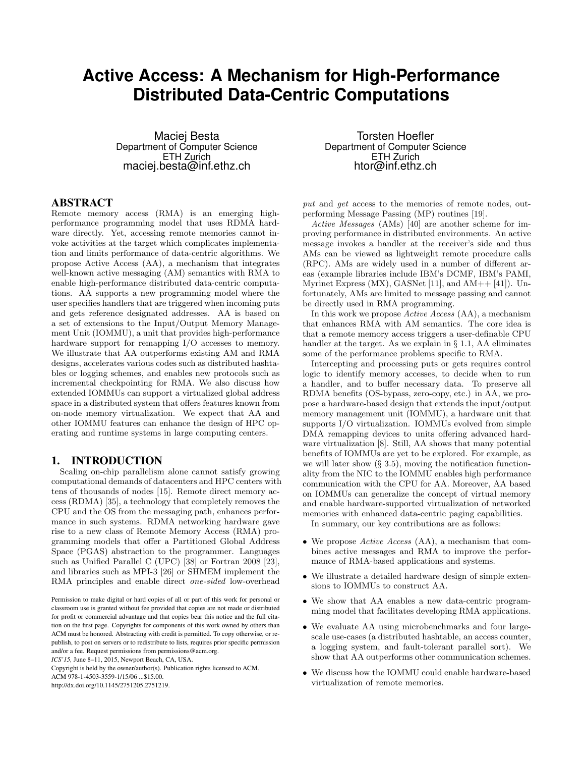# **Active Access: A Mechanism for High-Performance Distributed Data-Centric Computations**

Maciej Besta Department of Computer Science ETH Zurich maciej.besta@inf.ethz.ch

### ABSTRACT

Remote memory access (RMA) is an emerging highperformance programming model that uses RDMA hardware directly. Yet, accessing remote memories cannot invoke activities at the target which complicates implementation and limits performance of data-centric algorithms. We propose Active Access (AA), a mechanism that integrates well-known active messaging (AM) semantics with RMA to enable high-performance distributed data-centric computations. AA supports a new programming model where the user specifies handlers that are triggered when incoming puts and gets reference designated addresses. AA is based on a set of extensions to the Input/Output Memory Management Unit (IOMMU), a unit that provides high-performance hardware support for remapping I/O accesses to memory. We illustrate that AA outperforms existing AM and RMA designs, accelerates various codes such as distributed hashtables or logging schemes, and enables new protocols such as incremental checkpointing for RMA. We also discuss how extended IOMMUs can support a virtualized global address space in a distributed system that offers features known from on-node memory virtualization. We expect that AA and other IOMMU features can enhance the design of HPC operating and runtime systems in large computing centers.

# 1. INTRODUCTION

Scaling on-chip parallelism alone cannot satisfy growing computational demands of datacenters and HPC centers with tens of thousands of nodes [15]. Remote direct memory access (RDMA) [35], a technology that completely removes the CPU and the OS from the messaging path, enhances performance in such systems. RDMA networking hardware gave rise to a new class of Remote Memory Access (RMA) programming models that offer a Partitioned Global Address Space (PGAS) abstraction to the programmer. Languages such as Unified Parallel C (UPC) [38] or Fortran 2008 [23], and libraries such as MPI-3 [26] or SHMEM implement the RMA principles and enable direct one-sided low-overhead

*ICS'15,* June 8–11, 2015, Newport Beach, CA, USA.

ACM 978-1-4503-3559-1/15/06 ...\$15.00.

http://dx.doi.org/10.1145/2751205.2751219.

Torsten Hoefler Department of Computer Science ETH Zurich htor@inf.ethz.ch

put and get access to the memories of remote nodes, outperforming Message Passing (MP) routines [19].

Active Messages (AMs) [40] are another scheme for improving performance in distributed environments. An active message invokes a handler at the receiver's side and thus AMs can be viewed as lightweight remote procedure calls (RPC). AMs are widely used in a number of different areas (example libraries include IBM's DCMF, IBM's PAMI, Myrinet Express  $(MX)$ , GASNet [11], and  $AM++$  [41]). Unfortunately, AMs are limited to message passing and cannot be directly used in RMA programming.

In this work we propose Active Access (AA), a mechanism that enhances RMA with AM semantics. The core idea is that a remote memory access triggers a user-definable CPU handler at the target. As we explain in  $\S 1.1$ , AA eliminates some of the performance problems specific to RMA.

Intercepting and processing puts or gets requires control logic to identify memory accesses, to decide when to run a handler, and to buffer necessary data. To preserve all RDMA benefits (OS-bypass, zero-copy, etc.) in AA, we propose a hardware-based design that extends the input/output memory management unit (IOMMU), a hardware unit that supports I/O virtualization. IOMMUs evolved from simple DMA remapping devices to units offering advanced hardware virtualization [8]. Still, AA shows that many potential benefits of IOMMUs are yet to be explored. For example, as we will later show  $(\S 3.5)$ , moving the notification functionality from the NIC to the IOMMU enables high performance communication with the CPU for AA. Moreover, AA based on IOMMUs can generalize the concept of virtual memory and enable hardware-supported virtualization of networked memories with enhanced data-centric paging capabilities.

In summary, our key contributions are as follows:

- We propose Active Access (AA), a mechanism that combines active messages and RMA to improve the performance of RMA-based applications and systems.
- We illustrate a detailed hardware design of simple extensions to IOMMUs to construct AA.
- We show that AA enables a new data-centric programming model that facilitates developing RMA applications.
- We evaluate AA using microbenchmarks and four largescale use-cases (a distributed hashtable, an access counter, a logging system, and fault-tolerant parallel sort). We show that AA outperforms other communication schemes.
- We discuss how the IOMMU could enable hardware-based virtualization of remote memories.

Permission to make digital or hard copies of all or part of this work for personal or classroom use is granted without fee provided that copies are not made or distributed for profit or commercial advantage and that copies bear this notice and the full citation on the first page. Copyrights for components of this work owned by others than ACM must be honored. Abstracting with credit is permitted. To copy otherwise, or republish, to post on servers or to redistribute to lists, requires prior specific permission and/or a fee. Request permissions from permissions@acm.org.

Copyright is held by the owner/author(s). Publication rights licensed to ACM.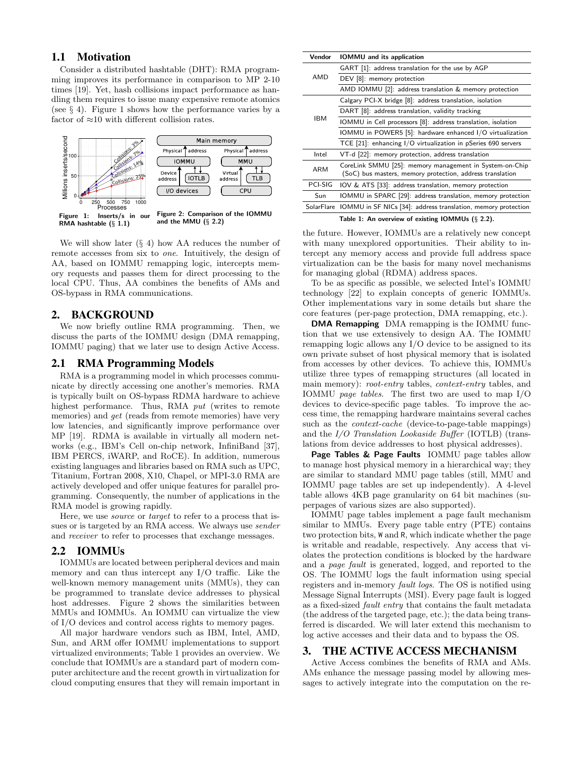## 1.1 Motivation

Consider a distributed hashtable (DHT): RMA programming improves its performance in comparison to MP 2-10 times [19]. Yet, hash collisions impact performance as handling them requires to issue many expensive remote atomics (see § 4). Figure 1 shows how the performance varies by a factor of  $\approx$ 10 with different collision rates.



Figure 1: Inserts/s in our RMA hashtable (§ 1.1) Figure 2: Comparison of the IOMMU and the MMU (§ 2.2)

We will show later  $(\S 4)$  how AA reduces the number of remote accesses from six to one. Intuitively, the design of AA, based on IOMMU remapping logic, intercepts memory requests and passes them for direct processing to the local CPU. Thus, AA combines the benefits of AMs and OS-bypass in RMA communications.

### 2. BACKGROUND

We now briefly outline RMA programming. Then, we discuss the parts of the IOMMU design (DMA remapping, IOMMU paging) that we later use to design Active Access.

### 2.1 RMA Programming Models

RMA is a programming model in which processes communicate by directly accessing one another's memories. RMA is typically built on OS-bypass RDMA hardware to achieve highest performance. Thus, RMA put (writes to remote memories) and *get* (reads from remote memories) have very low latencies, and significantly improve performance over MP [19]. RDMA is available in virtually all modern networks (e.g., IBM's Cell on-chip network, InfiniBand [37], IBM PERCS, iWARP, and RoCE). In addition, numerous existing languages and libraries based on RMA such as UPC, Titanium, Fortran 2008, X10, Chapel, or MPI-3.0 RMA are actively developed and offer unique features for parallel programming. Consequently, the number of applications in the RMA model is growing rapidly.

Here, we use *source* or *target* to refer to a process that issues or is targeted by an RMA access. We always use *sender* and *receiver* to refer to processes that exchange messages.

# 2.2 IOMMUs

IOMMUs are located between peripheral devices and main memory and can thus intercept any I/O traffic. Like the well-known memory management units (MMUs), they can be programmed to translate device addresses to physical host addresses. Figure 2 shows the similarities between MMUs and IOMMUs. An IOMMU can virtualize the view of I/O devices and control access rights to memory pages.

All major hardware vendors such as IBM, Intel, AMD, Sun, and ARM offer IOMMU implementations to support virtualized environments; Table 1 provides an overview. We conclude that IOMMUs are a standard part of modern computer architecture and the recent growth in virtualization for cloud computing ensures that they will remain important in

| Vendor     | IOMMU and its application                                                                                            |
|------------|----------------------------------------------------------------------------------------------------------------------|
| AMD        | GART [1]: address translation for the use by AGP                                                                     |
|            | DEV [8]: memory protection                                                                                           |
|            | AMD IOMMU [2]: address translation & memory protection                                                               |
| <b>IBM</b> | Calgary PCI-X bridge [8]: address translation, isolation                                                             |
|            | DART [8]: address translation, validity tracking                                                                     |
|            | IOMMU in Cell processors [8]: address translation, isolation                                                         |
|            | IOMMU in POWER5 [5]: hardware enhanced I/O virtualization                                                            |
|            | TCE [21]: enhancing I/O virtualization in pSeries 690 servers                                                        |
| Intel      | VT-d [22]: memory protection, address translation                                                                    |
| ARM        | CoreLink SMMU [25]: memory management in System-on-Chip<br>(SoC) bus masters, memory protection, address translation |
| PCI-SIG    | IOV & ATS [33]: address translation, memory protection                                                               |
| Sun        | IOMMU in SPARC [29]: address translation, memory protection                                                          |
| SolarFlare | IOMMU in SF NICs [34]: address translation, memory protection                                                        |

Table 1: An overview of existing IOMMUs (§ 2.2).

the future. However, IOMMUs are a relatively new concept with many unexplored opportunities. Their ability to intercept any memory access and provide full address space virtualization can be the basis for many novel mechanisms for managing global (RDMA) address spaces.

To be as specific as possible, we selected Intel's IOMMU technology [22] to explain concepts of generic IOMMUs. Other implementations vary in some details but share the core features (per-page protection, DMA remapping, etc.).

DMA Remapping DMA remapping is the IOMMU function that we use extensively to design AA. The IOMMU remapping logic allows any I/O device to be assigned to its own private subset of host physical memory that is isolated from accesses by other devices. To achieve this, IOMMUs utilize three types of remapping structures (all located in main memory): root-entry tables, context-entry tables, and IOMMU page tables. The first two are used to map I/O devices to device-specific page tables. To improve the access time, the remapping hardware maintains several caches such as the *context-cache* (device-to-page-table mappings) and the I/O Translation Lookaside Buffer (IOTLB) (translations from device addresses to host physical addresses).

Page Tables & Page Faults IOMMU page tables allow to manage host physical memory in a hierarchical way; they are similar to standard MMU page tables (still, MMU and IOMMU page tables are set up independently). A 4-level table allows 4KB page granularity on 64 bit machines (superpages of various sizes are also supported).

IOMMU page tables implement a page fault mechanism similar to MMUs. Every page table entry (PTE) contains two protection bits, W and R, which indicate whether the page is writable and readable, respectively. Any access that violates the protection conditions is blocked by the hardware and a page fault is generated, logged, and reported to the OS. The IOMMU logs the fault information using special registers and in-memory fault logs. The OS is notified using Message Signal Interrupts (MSI). Every page fault is logged as a fixed-sized fault entry that contains the fault metadata (the address of the targeted page, etc.); the data being transferred is discarded. We will later extend this mechanism to log active accesses and their data and to bypass the OS.

### 3. THE ACTIVE ACCESS MECHANISM

Active Access combines the benefits of RMA and AMs. AMs enhance the message passing model by allowing messages to actively integrate into the computation on the re-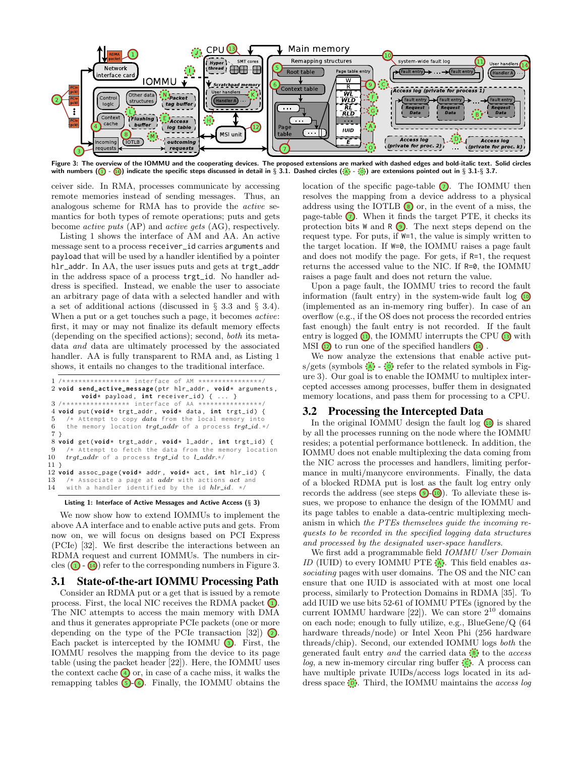

Figure 3: The overview of the IOMMU and the cooperating devices. The proposed extensions are marked with dashed edges and bold-italic text. Solid circles with numbers ( $\bigcirc$  -  $\bigcirc$ ) indicate the specific steps discussed in detail in § 3.1. Dashed circles ( $\bigcirc$  -  $\bigcirc$ ) are extensions pointed out in § 3.1-§ 3.7.

ceiver side. In RMA, processes communicate by accessing remote memories instead of sending messages. Thus, an analogous scheme for RMA has to provide the active semantics for both types of remote operations; puts and gets become active puts (AP) and active gets (AG), respectively.

Listing 1 shows the interface of AM and AA. An active message sent to a process receiver\_id carries arguments and payload that will be used by a handler identified by a pointer hlr\_addr. In AA, the user issues puts and gets at trgt\_addr in the address space of a process trgt\_id. No handler address is specified. Instead, we enable the user to associate an arbitrary page of data with a selected handler and with a set of additional actions (discussed in § 3.3 and § 3.4). When a put or a get touches such a page, it becomes active: first, it may or may not finalize its default memory effects (depending on the specified actions); second, both its metadata and data are ultimately processed by the associated handler. AA is fully transparent to RMA and, as Listing 1 shows, it entails no changes to the traditional interface.

```
1 /* **************** interface of AM *************** */
 2 void send_active_message(ptr hlr_addr, void* arguments,
           void * payload, int receiver_id) { ... }
 3 /******************* interface of AA ***
 4 void put (void* trgt_addr, void* data, int trgt_id) {<br>5 /* Attempt to copy data from the local memory into
 5 /* Attempt to copy data from the local memory into 6 the memory location trgt\_addr of a process trgt\_id.the memory location trgt\_addr of a process trgt\_id.*/7 }
 8 void get(void * trgt_aaddr, void * l_aaddr, int trgt_aid) {<br>9 /* Attempt to fetch the data from the memory location
9 /* Attempt to fetch the data from the memory location<br>10 trat addr of a process trat id to l addr */
      trgt\_addr of a process trgt\_id to l\_addr.*/11 }
12 void assoc_page (void* addr, void* act, int hlr_id) {
13 \prime\star Associate a page at addr with actions act and
14 with a handler identified by the id hlr\_id. */
```
#### Listing 1: Interface of Active Messages and Active Access (§ 3)

We now show how to extend IOMMUs to implement the above AA interface and to enable active puts and gets. From now on, we will focus on designs based on PCI Express (PCIe) [32]. We first describe the interactions between an RDMA request and current IOMMUs. The numbers in circles  $(1)$  -  $(4)$  refer to the corresponding numbers in Figure 3.

### 3.1 State-of-the-art IOMMU Processing Path

Consider an RDMA put or a get that is issued by a remote process. First, the local NIC receives the RDMA packet  $(1)$ . The NIC attempts to access the main memory with DMA and thus it generates appropriate PCIe packets (one or more depending on the type of the PCIe transaction  $[32]$   $(2)$ . Each packet is intercepted by the IOMMU  $\Omega$ . First, the IOMMU resolves the mapping from the device to its page table (using the packet header [22]). Here, the IOMMU uses the context cache  $\overline{4}$  or, in case of a cache miss, it walks the remapping tables  $\bigcirc$   $\bigcirc$ . Finally, the IOMMU obtains the location of the specific page-table  $(7)$ . The IOMMU then resolves the mapping from a device address to a physical address using the IOTLB  $\circledast$  or, in the event of a miss, the page-table  $\overline{O}$ . When it finds the target PTE, it checks its protection bits  $W$  and  $R$   $\bigcirc$ . The next steps depend on the request type. For puts, if W=1, the value is simply written to the target location. If W=0, the IOMMU raises a page fault and does not modify the page. For gets, if R=1, the request returns the accessed value to the NIC. If R=0, the IOMMU raises a page fault and does not return the value.

Upon a page fault, the IOMMU tries to record the fault information (fault entry) in the system-wide fault  $log(10)$ (implemented as an in-memory ring buffer). In case of an overflow (e.g., if the OS does not process the recorded entries fast enough) the fault entry is not recorded. If the fault entry is logged  $(1)$ , the IOMMU interrupts the CPU  $(3)$  with  $MSI$  (12) to run one of the specified handlers  $(14)$ .

We now analyze the extensions that enable active puts/gets (symbols  $\overline{(*)}$  -  $\overline{(*)}$  refer to the related symbols in Figure 3). Our goal is to enable the IOMMU to multiplex intercepted accesses among processes, buffer them in designated memory locations, and pass them for processing to a CPU.

### 3.2 Processing the Intercepted Data

In the original IOMMU design the fault  $log(10)$  is shared by all the processes running on the node where the IOMMU resides; a potential performance bottleneck. In addition, the IOMMU does not enable multiplexing the data coming from the NIC across the processes and handlers, limiting performance in multi/manycore environments. Finally, the data of a blocked RDMA put is lost as the fault log entry only records the address (see steps  $\left( \mathbf{P} \right)$ . To alleviate these issues, we propose to enhance the design of the IOMMU and its page tables to enable a data-centric multiplexing mechanism in which the PTEs themselves guide the incoming requests to be recorded in the specified logging data structures and processed by the designated user-space handlers.

We first add a programmable field IOMMU User Domain ID (IUID) to every IOMMU PTE  $\ddot{A}$ . This field enables associating pages with user domains. The OS and the NIC can ensure that one IUID is associated with at most one local process, similarly to Protection Domains in RDMA [35]. To add IUID we use bits 52-61 of IOMMU PTEs (ignored by the current IOMMU hardware [22]). We can store  $2^{10}$  domains on each node; enough to fully utilize, e.g., BlueGene/Q (64 hardware threads/node) or Intel Xeon Phi (256 hardware threads/chip). Second, our extended IOMMU logs both the generated fault entry and the carried data  $\mathbf{B}$  to the access  $log$ , a new in-memory circular ring buffer  $\dddot{C}$ . A process can have multiple private IUIDs/access logs located in its address space  $\mathbf{p}$ . Third, the IOMMU maintains the *access log*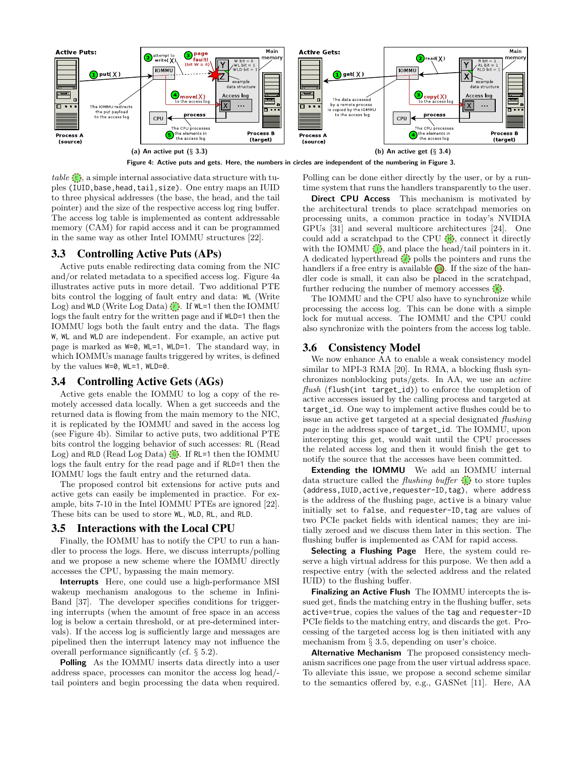

Figure 4: Active puts and gets. Here, the numbers in circles are independent of the numbering in Figure 3.

table  $\langle \vec{e} \rangle$ , a simple internal associative data structure with tuples (IUID,base,head,tail,size). One entry maps an IUID to three physical addresses (the base, the head, and the tail pointer) and the size of the respective access log ring buffer. The access log table is implemented as content addressable memory (CAM) for rapid access and it can be programmed in the same way as other Intel IOMMU structures [22].

### 3.3 Controlling Active Puts (APs)

Active puts enable redirecting data coming from the NIC and/or related metadata to a specified access log. Figure 4a illustrates active puts in more detail. Two additional PTE bits control the logging of fault entry and data: WL (Write Log) and WLD (Write Log Data)  $\mathbf{F}$ . If WL=1 then the IOMMU logs the fault entry for the written page and if WLD=1 then the IOMMU logs both the fault entry and the data. The flags W, WL and WLD are independent. For example, an active put page is marked as W=0, WL=1, WLD=1. The standard way, in which IOMMUs manage faults triggered by writes, is defined by the values W=0, WL=1, WLD=0.

### 3.4 Controlling Active Gets (AGs)

Active gets enable the IOMMU to log a copy of the remotely accessed data locally. When a get succeeds and the returned data is flowing from the main memory to the NIC, it is replicated by the IOMMU and saved in the access log (see Figure 4b). Similar to active puts, two additional PTE bits control the logging behavior of such accesses: RL (Read Log) and RLD (Read Log Data)  $\ddot{\mathbf{G}}$ . If RL=1 then the IOMMU logs the fault entry for the read page and if RLD=1 then the IOMMU logs the fault entry and the returned data.

The proposed control bit extensions for active puts and active gets can easily be implemented in practice. For example, bits 7-10 in the Intel IOMMU PTEs are ignored [22]. These bits can be used to store WL, WLD, RL, and RLD.

### 3.5 Interactions with the Local CPU

Finally, the IOMMU has to notify the CPU to run a handler to process the logs. Here, we discuss interrupts/polling and we propose a new scheme where the IOMMU directly accesses the CPU, bypassing the main memory.

Interrupts Here, one could use a high-performance MSI wakeup mechanism analogous to the scheme in Infini-Band [37]. The developer specifies conditions for triggering interrupts (when the amount of free space in an access log is below a certain threshold, or at pre-determined intervals). If the access log is sufficiently large and messages are pipelined then the interrupt latency may not influence the overall performance significantly (cf. § 5.2).

Polling As the IOMMU inserts data directly into a user address space, processes can monitor the access log head/ tail pointers and begin processing the data when required. time system that runs the handlers transparently to the user. Direct CPU Access This mechanism is motivated by the architectural trends to place scratchpad memories on processing units, a common practice in today's NVIDIA GPUs [31] and several multicore architectures [24]. One could add a scratchpad to the CPU  $\dddot{H}$ , connect it directly with the IOMMU  $\dddot{\bullet}$ , and place the head/tail pointers in it. A dedicated hyperthread  $\langle \mathbf{v} \rangle$  polls the pointers and runs the handlers if a free entry is available  $\overline{44}$ . If the size of the handler code is small, it can also be placed in the scratchpad, further reducing the number of memory accesses  $\dddot{\mathbf{k}}$ .

Polling can be done either directly by the user, or by a run-

The IOMMU and the CPU also have to synchronize while processing the access log. This can be done with a simple lock for mutual access. The IOMMU and the CPU could also synchronize with the pointers from the access log table.

### 3.6 Consistency Model

We now enhance AA to enable a weak consistency model similar to MPI-3 RMA [20]. In RMA, a blocking flush synchronizes nonblocking puts/gets. In AA, we use an active  $f$ lush(int target\_id)) to enforce the completion of active accesses issued by the calling process and targeted at target\_id. One way to implement active flushes could be to issue an active get targeted at a special designated flushing page in the address space of target\_id. The IOMMU, upon intercepting this get, would wait until the CPU processes the related access log and then it would finish the get to notify the source that the accesses have been committed.

Extending the IOMMU We add an IOMMU internal data structure called the *flushing buffer*  $\ddot{\bullet}$  to store tuples (address,IUID,active,requester-ID,tag), where address is the address of the flushing page, active is a binary value initially set to false, and requester-ID,tag are values of two PCIe packet fields with identical names; they are initially zeroed and we discuss them later in this section. The flushing buffer is implemented as CAM for rapid access.

Selecting a Flushing Page Here, the system could reserve a high virtual address for this purpose. We then add a respective entry (with the selected address and the related IUID) to the flushing buffer.

Finalizing an Active Flush The IOMMU intercepts the issued get, finds the matching entry in the flushing buffer, sets active=true, copies the values of the tag and requester-ID PCIe fields to the matching entry, and discards the get. Processing of the targeted access log is then initiated with any mechanism from § 3.5, depending on user's choice.

Alternative Mechanism The proposed consistency mechanism sacrifices one page from the user virtual address space. To alleviate this issue, we propose a second scheme similar to the semantics offered by, e.g., GASNet [11]. Here, AA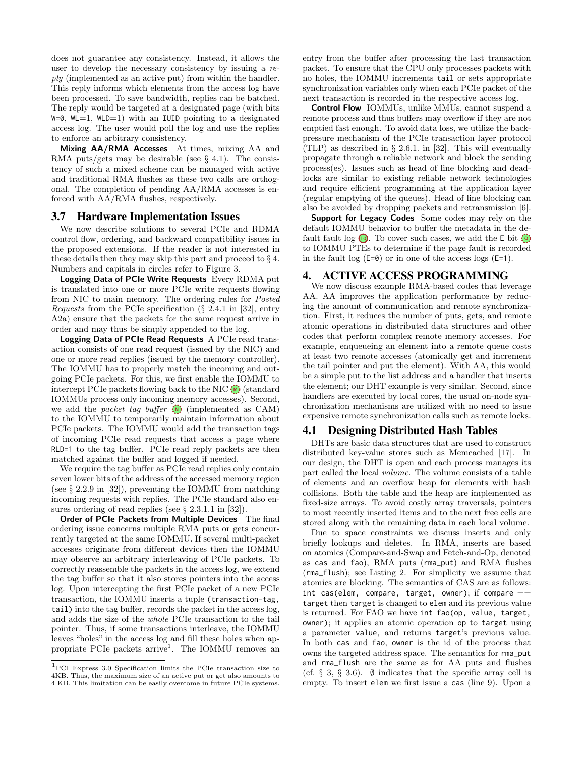does not guarantee any consistency. Instead, it allows the user to develop the necessary consistency by issuing a reply (implemented as an active put) from within the handler. This reply informs which elements from the access log have been processed. To save bandwidth, replies can be batched. The reply would be targeted at a designated page (with bits  $W=0$ ,  $W=L$ ,  $WLD=1$ ) with an IUID pointing to a designated access log. The user would poll the log and use the replies to enforce an arbitrary consistency.

Mixing AA/RMA Accesses At times, mixing AA and RMA puts/gets may be desirable (see  $\S$  4.1). The consistency of such a mixed scheme can be managed with active and traditional RMA flushes as these two calls are orthogonal. The completion of pending AA/RMA accesses is enforced with AA/RMA flushes, respectively.

### 3.7 Hardware Implementation Issues

We now describe solutions to several PCIe and RDMA control flow, ordering, and backward compatibility issues in the proposed extensions. If the reader is not interested in these details then they may skip this part and proceed to § 4. Numbers and capitals in circles refer to Figure 3.

Logging Data of PCIe Write Requests Every RDMA put is translated into one or more PCIe write requests flowing from NIC to main memory. The ordering rules for Posted Requests from the PCIe specification (§ 2.4.1 in [32], entry A2a) ensure that the packets for the same request arrive in order and may thus be simply appended to the log.

Logging Data of PCIe Read Requests A PCIe read transaction consists of one read request (issued by the NIC) and one or more read replies (issued by the memory controller). The IOMMU has to properly match the incoming and outgoing PCIe packets. For this, we first enable the IOMMU to intercept PCIe packets flowing back to the NIC  $\dddot{N}$  (standard IOMMUs process only incoming memory accesses). Second, we add the *packet tag buffer* ( $\overline{N}$ ) (implemented as CAM) to the IOMMU to temporarily maintain information about PCIe packets. The IOMMU would add the transaction tags of incoming PCIe read requests that access a page where RLD=1 to the tag buffer. PCIe read reply packets are then matched against the buffer and logged if needed.

We require the tag buffer as PCIe read replies only contain seven lower bits of the address of the accessed memory region (see § 2.2.9 in [32]), preventing the IOMMU from matching incoming requests with replies. The PCIe standard also ensures ordering of read replies (see § 2.3.1.1 in [32]).

Order of PCIe Packets from Multiple Devices The final ordering issue concerns multiple RMA puts or gets concurrently targeted at the same IOMMU. If several multi-packet accesses originate from different devices then the IOMMU may observe an arbitrary interleaving of PCIe packets. To correctly reassemble the packets in the access log, we extend the tag buffer so that it also stores pointers into the access log. Upon intercepting the first PCIe packet of a new PCIe transaction, the IOMMU inserts a tuple (transaction-tag, tail) into the tag buffer, records the packet in the access log, and adds the size of the whole PCIe transaction to the tail pointer. Thus, if some transactions interleave, the IOMMU leaves "holes" in the access log and fill these holes when appropriate PCIe packets arrive<sup>1</sup>. The IOMMU removes an

entry from the buffer after processing the last transaction packet. To ensure that the CPU only processes packets with no holes, the IOMMU increments tail or sets appropriate synchronization variables only when each PCIe packet of the next transaction is recorded in the respective access log.

Control Flow IOMMUs, unlike MMUs, cannot suspend a remote process and thus buffers may overflow if they are not emptied fast enough. To avoid data loss, we utilize the backpressure mechanism of the PCIe transaction layer protocol (TLP) as described in § 2.6.1. in [32]. This will eventually propagate through a reliable network and block the sending process(es). Issues such as head of line blocking and deadlocks are similar to existing reliable network technologies and require efficient programming at the application layer (regular emptying of the queues). Head of line blocking can also be avoided by dropping packets and retransmission [6].

Support for Legacy Codes Some codes may rely on the default IOMMU behavior to buffer the metadata in the default fault log  $\omega$ . To cover such cases, we add the E bit  $\ddot{\omega}$ to IOMMU PTEs to determine if the page fault is recorded in the fault log  $(E=0)$  or in one of the access logs  $(E=1)$ .

### 4. ACTIVE ACCESS PROGRAMMING

We now discuss example RMA-based codes that leverage AA. AA improves the application performance by reducing the amount of communication and remote synchronization. First, it reduces the number of puts, gets, and remote atomic operations in distributed data structures and other codes that perform complex remote memory accesses. For example, enqueueing an element into a remote queue costs at least two remote accesses (atomically get and increment the tail pointer and put the element). With AA, this would be a simple put to the list address and a handler that inserts the element; our DHT example is very similar. Second, since handlers are executed by local cores, the usual on-node synchronization mechanisms are utilized with no need to issue expensive remote synchronization calls such as remote locks.

### 4.1 Designing Distributed Hash Tables

DHTs are basic data structures that are used to construct distributed key-value stores such as Memcached [17]. In our design, the DHT is open and each process manages its part called the local volume. The volume consists of a table of elements and an overflow heap for elements with hash collisions. Both the table and the heap are implemented as fixed-size arrays. To avoid costly array traversals, pointers to most recently inserted items and to the next free cells are stored along with the remaining data in each local volume.

Due to space constraints we discuss inserts and only briefly lookups and deletes. In RMA, inserts are based on atomics (Compare-and-Swap and Fetch-and-Op, denoted as cas and fao), RMA puts (rma\_put) and RMA flushes (rma\_flush); see Listing 2. For simplicity we assume that atomics are blocking. The semantics of CAS are as follows: int cas(elem, compare, target, owner); if compare  $==$ target then target is changed to elem and its previous value is returned. For FAO we have int fao(op, value, target, owner); it applies an atomic operation op to target using a parameter value, and returns target's previous value. In both cas and fao, owner is the id of the process that owns the targeted address space. The semantics for rma\_put and rma\_flush are the same as for AA puts and flushes (cf.  $\S$  3,  $\S$  3.6).  $\emptyset$  indicates that the specific array cell is empty. To insert elem we first issue a cas (line 9). Upon a

<sup>1</sup>PCI Express 3.0 Specification limits the PCIe transaction size to 4KB. Thus, the maximum size of an active put or get also amounts to 4 KB. This limitation can be easily overcome in future PCIe systems.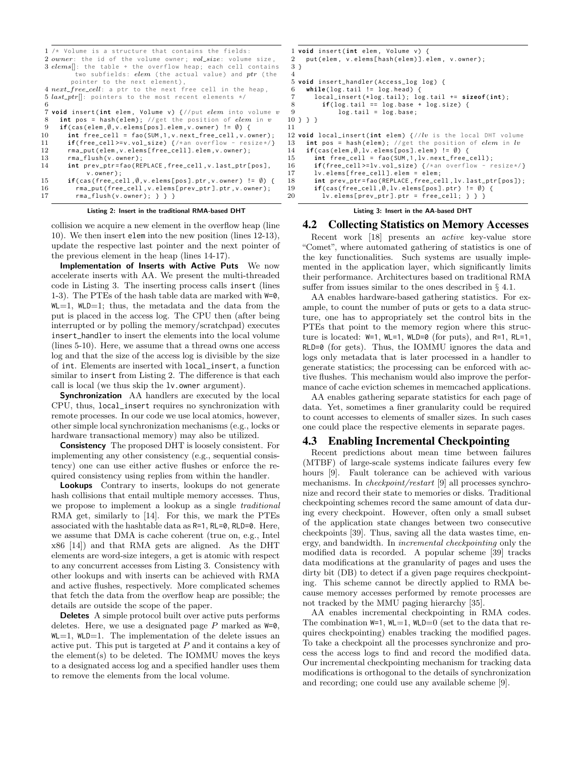```
1 /* Volume is a structure that contains the fields :
 2 owner: the id of the volume owner; vol\_size: volume size,
3 \text{ elements}: the table + the overflow heap; each cell contains
          two subfields: elem (the actual value) and ptr (the
        pointer to the next element).
 4 next\_free\_cell: a ptr to the next free cell in the heap
 5 last_ptr[]: pointers to the most recent elements */
 6
7 void insert (int elem, Volume v) \frac{1}{2} volume v \frac{1}{2} volume v
 8 int pos = hash(elem); //get the position of elem in v9 if(cas(elem,\emptyset, v. elems[pos].elem, v. owner) != \emptyset) {
10 int free cell = fao ( SUM , 1 , v . next free cell , v . owner ) ;
11 if( free_cell >= v . vol_size ) {/* an overflow - resize */}
       rma_put ( elem , v . elems [free_cell ] . elem , v . owner ) ;
13 rma_flush(v.owner);
14 int prev_ptr=fao (REPLACE, free_cell, v.last_ptr[pos],
             v . owner ) ;
15 if(cas(free_cell,\emptyset, v. elems[pos].ptr, v. owner) != \emptyset) {<br>16 ma_put(free_cell, v. elems[prev_ptr].ptr, v. owner);
          rma_put (free_cell, v.elems[prev_ptr].ptr, v.owner);
17 rma_flush(v.owner); } } }
```
#### Listing 2: Insert in the traditional RMA-based DHT

collision we acquire a new element in the overflow heap (line 10). We then insert elem into the new position (lines 12-13), update the respective last pointer and the next pointer of the previous element in the heap (lines 14-17).

Implementation of Inserts with Active Puts We now accelerate inserts with AA. We present the multi-threaded code in Listing 3. The inserting process calls insert (lines 1-3). The PTEs of the hash table data are marked with W=0,  $WL=1$ ,  $WLD=1$ ; thus, the metadata and the data from the put is placed in the access log. The CPU then (after being interrupted or by polling the memory/scratchpad) executes insert\_handler to insert the elements into the local volume (lines 5-10). Here, we assume that a thread owns one access log and that the size of the access log is divisible by the size of int. Elements are inserted with local\_insert, a function similar to insert from Listing 2. The difference is that each call is local (we thus skip the lv.owner argument).

Synchronization AA handlers are executed by the local CPU, thus, local\_insert requires no synchronization with remote processes. In our code we use local atomics, however, other simple local synchronization mechanisms (e.g., locks or hardware transactional memory) may also be utilized.

Consistency The proposed DHT is loosely consistent. For implementing any other consistency (e.g., sequential consistency) one can use either active flushes or enforce the required consistency using replies from within the handler.

Lookups Contrary to inserts, lookups do not generate hash collisions that entail multiple memory accesses. Thus, we propose to implement a lookup as a single traditional RMA get, similarly to [14]. For this, we mark the PTEs associated with the hashtable data as R=1, RL=0, RLD=0. Here, we assume that DMA is cache coherent (true on, e.g., Intel x86 [14]) and that RMA gets are aligned. As the DHT elements are word-size integers, a get is atomic with respect to any concurrent accesses from Listing 3. Consistency with other lookups and with inserts can be achieved with RMA and active flushes, respectively. More complicated schemes that fetch the data from the overflow heap are possible; the details are outside the scope of the paper.

Deletes A simple protocol built over active puts performs deletes. Here, we use a designated page  $P$  marked as  $W=0$ ,  $WL=1$ ,  $WL=1$ . The implementation of the delete issues an active put. This put is targeted at P and it contains a key of the element(s) to be deleted. The IOMMU moves the keys to a designated access log and a specified handler uses them to remove the elements from the local volume.

```
1 void insert (int elem, Volume v)<br>2 put (elem. v.elems [hash (elem) ]
     put ( elem , v . elems [ hash ( elem ) ] . elem , v . owner ) ;
 3 }
 4
 5 void insert_handler ( Access_log log ) {
 6 while (log.tail != log.tead) {
         local\_insert(*log. tail); log. tail + = sizeof(int);8 if( log . tail == log . base + log . size ) {
 9 log . tail = log . base ;
10 } } }
11
12 void local_insert (int elem) \frac{1}{l} //lv is the local DHT volume
13 int pos = hash(elem); //get the position of elem in lv<br>14 if(cas(elem \emptyset, lv, elems[pos], elem) != \emptyset) {
      if(cas (elem, ∅, lw. elements [pos]. elem) != ∅) {15 int free_cell = fao(SUM, 1, lv. next_free_cell);
16 if(free_cell>=lv.vol_size) {/*an overflow - resize*/}
17 lv . elems [ free_cell ]. elem = elem ;
18 int prev_ptr=fao(REPLACE, free_cell, lv. last_ptr[pos]);<br>19 if(cas(free cell.\emptyset, lv. elems[pos].ptr) != \emptyset) {
         if(cas (free\_cell, \emptyset, lw. elements[pos].ptr) != \emptyset) {
20 lv.elems[prev_ptr].ptr = free_cell; } } }
```
#### Listing 3: Insert in the AA-based DHT

### 4.2 Collecting Statistics on Memory Accesses

Recent work [18] presents an active key-value store "Comet", where automated gathering of statistics is one of the key functionalities. Such systems are usually implemented in the application layer, which significantly limits their performance. Architectures based on traditional RMA suffer from issues similar to the ones described in § 4.1.

AA enables hardware-based gathering statistics. For example, to count the number of puts or gets to a data structure, one has to appropriately set the control bits in the PTEs that point to the memory region where this structure is located: W=1, WL=1, WLD=0 (for puts), and R=1, RL=1, RLD=0 (for gets). Thus, the IOMMU ignores the data and logs only metadata that is later processed in a handler to generate statistics; the processing can be enforced with active flushes. This mechanism would also improve the performance of cache eviction schemes in memcached applications.

AA enables gathering separate statistics for each page of data. Yet, sometimes a finer granularity could be required to count accesses to elements of smaller sizes. In such cases one could place the respective elements in separate pages.

# 4.3 Enabling Incremental Checkpointing

Recent predictions about mean time between failures (MTBF) of large-scale systems indicate failures every few hours [9]. Fault tolerance can be achieved with various mechanisms. In checkpoint/restart [9] all processes synchronize and record their state to memories or disks. Traditional checkpointing schemes record the same amount of data during every checkpoint. However, often only a small subset of the application state changes between two consecutive checkpoints [39]. Thus, saving all the data wastes time, energy, and bandwidth. In incremental checkpointing only the modified data is recorded. A popular scheme [39] tracks data modifications at the granularity of pages and uses the dirty bit (DB) to detect if a given page requires checkpointing. This scheme cannot be directly applied to RMA because memory accesses performed by remote processes are not tracked by the MMU paging hierarchy [35].

AA enables incremental checkpointing in RMA codes. The combination  $W=1$ ,  $W=L=1$ ,  $WLD=0$  (set to the data that requires checkpointing) enables tracking the modified pages. To take a checkpoint all the processes synchronize and process the access logs to find and record the modified data. Our incremental checkpointing mechanism for tracking data modifications is orthogonal to the details of synchronization and recording; one could use any available scheme [9].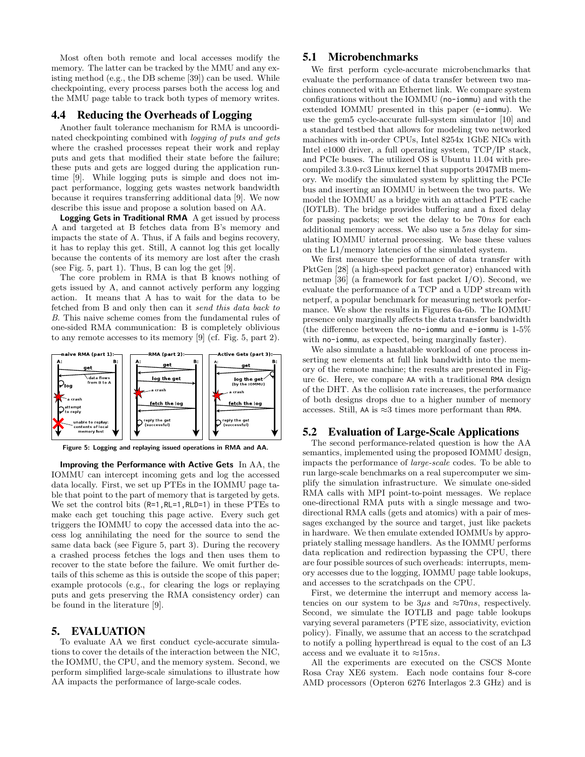Most often both remote and local accesses modify the memory. The latter can be tracked by the MMU and any existing method (e.g., the DB scheme [39]) can be used. While checkpointing, every process parses both the access log and the MMU page table to track both types of memory writes.

### 4.4 Reducing the Overheads of Logging

Another fault tolerance mechanism for RMA is uncoordinated checkpointing combined with logging of puts and gets where the crashed processes repeat their work and replay puts and gets that modified their state before the failure; these puts and gets are logged during the application runtime [9]. While logging puts is simple and does not impact performance, logging gets wastes network bandwidth because it requires transferring additional data [9]. We now describe this issue and propose a solution based on AA.

Logging Gets in Traditional RMA A get issued by process A and targeted at B fetches data from B's memory and impacts the state of A. Thus, if A fails and begins recovery, it has to replay this get. Still, A cannot log this get locally because the contents of its memory are lost after the crash (see Fig. 5, part 1). Thus, B can log the get [9].

The core problem in RMA is that B knows nothing of gets issued by A, and cannot actively perform any logging action. It means that A has to wait for the data to be fetched from B and only then can it send this data back to B. This naive scheme comes from the fundamental rules of one-sided RMA communication: B is completely oblivious to any remote accesses to its memory [9] (cf. Fig. 5, part 2).



Figure 5: Logging and replaying issued operations in RMA and AA.

Improving the Performance with Active Gets In AA, the IOMMU can intercept incoming gets and log the accessed data locally. First, we set up PTEs in the IOMMU page table that point to the part of memory that is targeted by gets. We set the control bits (R=1,RL=1,RLD=1) in these PTEs to make each get touching this page active. Every such get triggers the IOMMU to copy the accessed data into the access log annihilating the need for the source to send the same data back (see Figure 5, part 3). During the recovery a crashed process fetches the logs and then uses them to recover to the state before the failure. We omit further details of this scheme as this is outside the scope of this paper; example protocols (e.g., for clearing the logs or replaying puts and gets preserving the RMA consistency order) can be found in the literature [9].

### 5. EVALUATION

To evaluate AA we first conduct cycle-accurate simulations to cover the details of the interaction between the NIC, the IOMMU, the CPU, and the memory system. Second, we perform simplified large-scale simulations to illustrate how AA impacts the performance of large-scale codes.

# 5.1 Microbenchmarks

We first perform cycle-accurate microbenchmarks that evaluate the performance of data transfer between two machines connected with an Ethernet link. We compare system configurations without the IOMMU (no-iommu) and with the extended IOMMU presented in this paper (e-iommu). We use the gem5 cycle-accurate full-system simulator [10] and a standard testbed that allows for modeling two networked machines with in-order CPUs, Intel 8254x 1GbE NICs with Intel e1000 driver, a full operating system, TCP/IP stack, and PCIe buses. The utilized OS is Ubuntu 11.04 with precompiled 3.3.0-rc3 Linux kernel that supports 2047MB memory. We modify the simulated system by splitting the PCIe bus and inserting an IOMMU in between the two parts. We model the IOMMU as a bridge with an attached PTE cache (IOTLB). The bridge provides buffering and a fixed delay for passing packets; we set the delay to be 70ns for each additional memory access. We also use a 5ns delay for simulating IOMMU internal processing. We base these values on the L1/memory latencies of the simulated system.

We first measure the performance of data transfer with PktGen [28] (a high-speed packet generator) enhanced with netmap [36] (a framework for fast packet I/O). Second, we evaluate the performance of a TCP and a UDP stream with netperf, a popular benchmark for measuring network performance. We show the results in Figures 6a-6b. The IOMMU presence only marginally affects the data transfer bandwidth (the difference between the no-iommu and e-iommu is 1-5% with no-iommu, as expected, being marginally faster).

We also simulate a hashtable workload of one process inserting new elements at full link bandwidth into the memory of the remote machine; the results are presented in Figure 6c. Here, we compare AA with a traditional RMA design of the DHT. As the collision rate increases, the performance of both designs drops due to a higher number of memory accesses. Still, AA is  $\approx 3$  times more performant than RMA.

# 5.2 Evaluation of Large-Scale Applications

The second performance-related question is how the AA semantics, implemented using the proposed IOMMU design, impacts the performance of large-scale codes. To be able to run large-scale benchmarks on a real supercomputer we simplify the simulation infrastructure. We simulate one-sided RMA calls with MPI point-to-point messages. We replace one-directional RMA puts with a single message and twodirectional RMA calls (gets and atomics) with a pair of messages exchanged by the source and target, just like packets in hardware. We then emulate extended IOMMUs by appropriately stalling message handlers. As the IOMMU performs data replication and redirection bypassing the CPU, there are four possible sources of such overheads: interrupts, memory accesses due to the logging, IOMMU page table lookups, and accesses to the scratchpads on the CPU.

First, we determine the interrupt and memory access latencies on our system to be  $3\mu s$  and  $\approx 70ns$ , respectively. Second, we simulate the IOTLB and page table lookups varying several parameters (PTE size, associativity, eviction policy). Finally, we assume that an access to the scratchpad to notify a polling hyperthread is equal to the cost of an L3 access and we evaluate it to  $\approx 15ns$ .

All the experiments are executed on the CSCS Monte Rosa Cray XE6 system. Each node contains four 8-core AMD processors (Opteron 6276 Interlagos 2.3 GHz) and is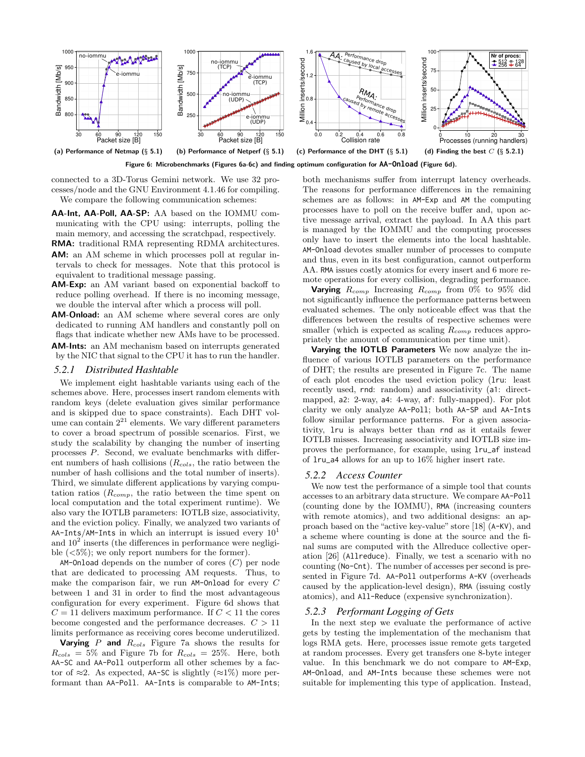

Figure 6: Microbenchmarks (Figures 6a-6c) and finding optimum configuration for AA-Onload (Figure 6d).

connected to a 3D-Torus Gemini network. We use 32 processes/node and the GNU Environment 4.1.46 for compiling. We compare the following communication schemes:

AA-Int, AA-Poll, AA-SP: AA based on the IOMMU communicating with the CPU using: interrupts, polling the main memory, and accessing the scratchpad, respectively. RMA: traditional RMA representing RDMA architectures. AM: an AM scheme in which processes poll at regular intervals to check for messages. Note that this protocol is equivalent to traditional message passing.

AM-Exp: an AM variant based on exponential backoff to reduce polling overhead. If there is no incoming message, we double the interval after which a process will poll.

AM-Onload: an AM scheme where several cores are only dedicated to running AM handlers and constantly poll on flags that indicate whether new AMs have to be processed. AM-Ints: an AM mechanism based on interrupts generated by the NIC that signal to the CPU it has to run the handler.

### *5.2.1 Distributed Hashtable*

We implement eight hashtable variants using each of the schemes above. Here, processes insert random elements with random keys (delete evaluation gives similar performance and is skipped due to space constraints). Each DHT volume can contain  $2^{21}$  elements. We vary different parameters to cover a broad spectrum of possible scenarios. First, we study the scalability by changing the number of inserting processes P. Second, we evaluate benchmarks with different numbers of hash collisions  $(R_{cols},$  the ratio between the number of hash collisions and the total number of inserts). Third, we simulate different applications by varying computation ratios  $(R_{comp},$  the ratio between the time spent on local computation and the total experiment runtime). We also vary the IOTLB parameters: IOTLB size, associativity, and the eviction policy. Finally, we analyzed two variants of AA-Ints/AM-Ints in which an interrupt is issued every  $10<sup>1</sup>$ and  $10^2$  inserts (the differences in performance were negligible  $(<5\%)$ ; we only report numbers for the former).

AM-Onload depends on the number of cores  $(C)$  per node that are dedicated to processing AM requests. Thus, to make the comparison fair, we run AM-Onload for every C between 1 and 31 in order to find the most advantageous configuration for every experiment. Figure 6d shows that  $C = 11$  delivers maximum performance. If  $C < 11$  the cores become congested and the performance decreases.  $C > 11$ limits performance as receiving cores become underutilized.

**Varying** P and  $R_{cols}$  Figure 7a shows the results for  $R_{\text{cols}} = 5\%$  and Figure 7b for  $R_{\text{cols}} = 25\%$ . Here, both AA-SC and AA-Poll outperform all other schemes by a factor of  $\approx$ 2. As expected, AA-SC is slightly  $(\approx 1\%)$  more performant than AA-Poll. AA-Ints is comparable to AM-Ints; both mechanisms suffer from interrupt latency overheads. The reasons for performance differences in the remaining schemes are as follows: in AM-Exp and AM the computing processes have to poll on the receive buffer and, upon active message arrival, extract the payload. In AA this part is managed by the IOMMU and the computing processes only have to insert the elements into the local hashtable. AM-Onload devotes smaller number of processes to compute and thus, even in its best configuration, cannot outperform AA. RMA issues costly atomics for every insert and 6 more remote operations for every collision, degrading performance.

Varying  $R_{comp}$  Increasing  $R_{comp}$  from 0% to 95% did not significantly influence the performance patterns between evaluated schemes. The only noticeable effect was that the differences between the results of respective schemes were smaller (which is expected as scaling  $R_{comp}$  reduces appropriately the amount of communication per time unit).

Varying the IOTLB Parameters We now analyze the influence of various IOTLB parameters on the performance of DHT; the results are presented in Figure 7c. The name of each plot encodes the used eviction policy (lru: least recently used, rnd: random) and associativity (a1: directmapped, a2: 2-way, a4: 4-way, af: fully-mapped). For plot clarity we only analyze AA-Poll; both AA-SP and AA-Ints follow similar performance patterns. For a given associativity, lru is always better than rnd as it entails fewer IOTLB misses. Increasing associativity and IOTLB size improves the performance, for example, using lru\_af instead of lru\_a4 allows for an up to 16% higher insert rate.

### *5.2.2 Access Counter*

We now test the performance of a simple tool that counts accesses to an arbitrary data structure. We compare AA-Poll (counting done by the IOMMU), RMA (increasing counters with remote atomics), and two additional designs: an approach based on the "active key-value" store [18] (A-KV), and a scheme where counting is done at the source and the final sums are computed with the Allreduce collective operation [26] (Allreduce). Finally, we test a scenario with no counting (No-Cnt). The number of accesses per second is presented in Figure 7d. AA-Poll outperforms A-KV (overheads caused by the application-level design), RMA (issuing costly atomics), and All-Reduce (expensive synchronization).

### *5.2.3 Performant Logging of Gets*

In the next step we evaluate the performance of active gets by testing the implementation of the mechanism that logs RMA gets. Here, processes issue remote gets targeted at random processes. Every get transfers one 8-byte integer value. In this benchmark we do not compare to AM-Exp, AM-Onload, and AM-Ints because these schemes were not suitable for implementing this type of application. Instead,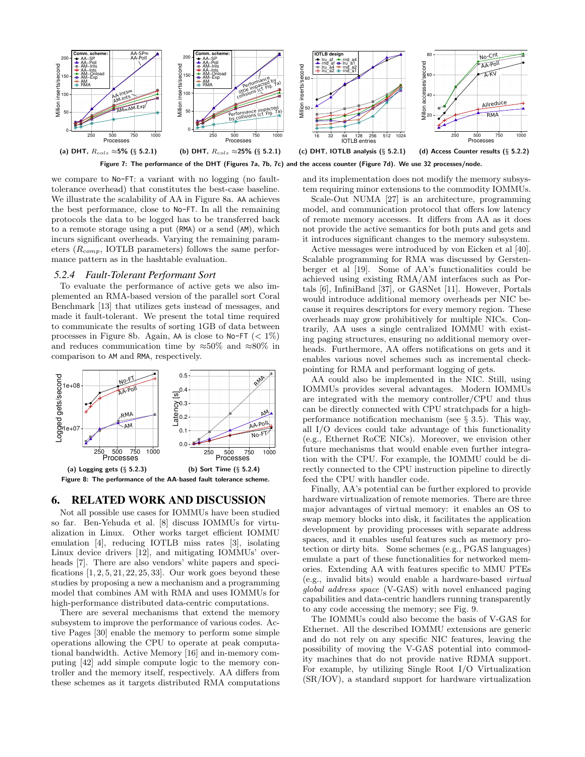

Figure 7: The performance of the DHT (Figures 7a, 7b, 7c) and the access counter (Figure 7d). We use 32 processes/node.

we compare to No-FT: a variant with no logging (no faulttolerance overhead) that constitutes the best-case baseline. We illustrate the scalability of AA in Figure 8a. AA achieves the best performance, close to No-FT. In all the remaining protocols the data to be logged has to be transferred back to a remote storage using a put (RMA) or a send (AM), which incurs significant overheads. Varying the remaining parameters ( $R_{comp}$ , IOTLB parameters) follows the same performance pattern as in the hashtable evaluation.

### *5.2.4 Fault-Tolerant Performant Sort*

To evaluate the performance of active gets we also implemented an RMA-based version of the parallel sort Coral Benchmark [13] that utilizes gets instead of messages, and made it fault-tolerant. We present the total time required to communicate the results of sorting 1GB of data between processes in Figure 8b. Again, AA is close to No-FT  $(< 1\%)$ and reduces communication time by  $\approx 50\%$  and  $\approx 80\%$  in comparison to AM and RMA, respectively.



### 6. RELATED WORK AND DISCUSSION

Not all possible use cases for IOMMUs have been studied so far. Ben-Yehuda et al. [8] discuss IOMMUs for virtualization in Linux. Other works target efficient IOMMU emulation [4], reducing IOTLB miss rates [3], isolating Linux device drivers [12], and mitigating IOMMUs' overheads [7]. There are also vendors' white papers and specifications  $[1, 2, 5, 21, 22, 25, 33]$ . Our work goes beyond these studies by proposing a new a mechanism and a programming model that combines AM with RMA and uses IOMMUs for high-performance distributed data-centric computations.

There are several mechanisms that extend the memory subsystem to improve the performance of various codes. Active Pages [30] enable the memory to perform some simple operations allowing the CPU to operate at peak computational bandwidth. Active Memory [16] and in-memory computing [42] add simple compute logic to the memory controller and the memory itself, respectively. AA differs from these schemes as it targets distributed RMA computations and its implementation does not modify the memory subsystem requiring minor extensions to the commodity IOMMUs.

Scale-Out NUMA [27] is an architecture, programming model, and communication protocol that offers low latency of remote memory accesses. It differs from AA as it does not provide the active semantics for both puts and gets and it introduces significant changes to the memory subsystem.

Active messages were introduced by von Eicken et al [40]. Scalable programming for RMA was discussed by Gerstenberger et al [19]. Some of AA's functionalities could be achieved using existing RMA/AM interfaces such as Portals [6], InfiniBand [37], or GASNet [11]. However, Portals would introduce additional memory overheads per NIC because it requires descriptors for every memory region. These overheads may grow prohibitively for multiple NICs. Contrarily, AA uses a single centralized IOMMU with existing paging structures, ensuring no additional memory overheads. Furthermore, AA offers notifications on gets and it enables various novel schemes such as incremental checkpointing for RMA and performant logging of gets.

AA could also be implemented in the NIC. Still, using IOMMUs provides several advantages. Modern IOMMUs are integrated with the memory controller/CPU and thus can be directly connected with CPU stratchpads for a highperformance notification mechanism (see § 3.5). This way, all I/O devices could take advantage of this functionality (e.g., Ethernet RoCE NICs). Moreover, we envision other future mechanisms that would enable even further integration with the CPU. For example, the IOMMU could be directly connected to the CPU instruction pipeline to directly feed the CPU with handler code.

Finally, AA's potential can be further explored to provide hardware virtualization of remote memories. There are three major advantages of virtual memory: it enables an OS to swap memory blocks into disk, it facilitates the application development by providing processes with separate address spaces, and it enables useful features such as memory protection or dirty bits. Some schemes (e.g., PGAS languages) emulate a part of these functionalities for networked memories. Extending AA with features specific to MMU PTEs (e.g., invalid bits) would enable a hardware-based virtual global address space (V-GAS) with novel enhanced paging capabilities and data-centric handlers running transparently to any code accessing the memory; see Fig. 9.

The IOMMUs could also become the basis of V-GAS for Ethernet. All the described IOMMU extensions are generic and do not rely on any specific NIC features, leaving the possibility of moving the V-GAS potential into commodity machines that do not provide native RDMA support. For example, by utilizing Single Root I/O Virtualization (SR/IOV), a standard support for hardware virtualization